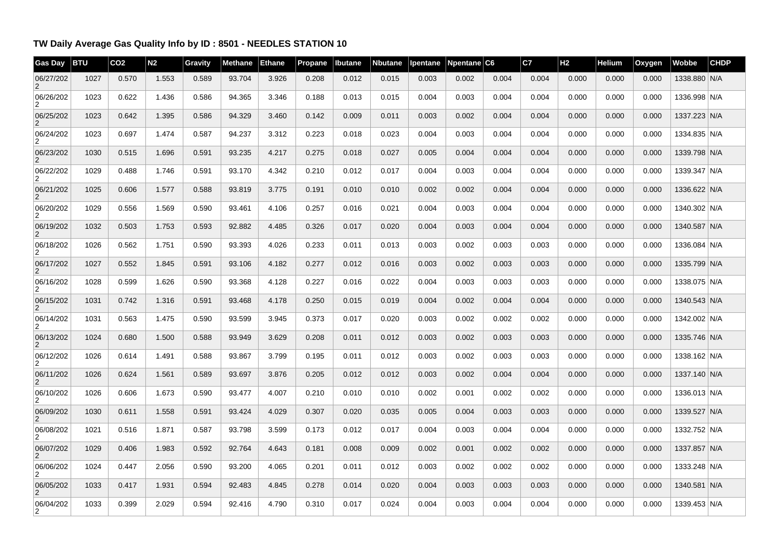## **TW Daily Average Gas Quality Info by ID : 8501 - NEEDLES STATION 10**

| <b>Gas Day</b>              | <b>BTU</b> | CO <sub>2</sub> | N <sub>2</sub> | Gravity | Methane | <b>Ethane</b> | Propane | Ibutane | <b>Nbutane</b> | pentane | Npentane $ C6 $ |       | C7    | H <sub>2</sub> | Helium | Oxygen | Wobbe        | <b>CHDP</b> |
|-----------------------------|------------|-----------------|----------------|---------|---------|---------------|---------|---------|----------------|---------|-----------------|-------|-------|----------------|--------|--------|--------------|-------------|
| 06/27/202                   | 1027       | 0.570           | 1.553          | 0.589   | 93.704  | 3.926         | 0.208   | 0.012   | 0.015          | 0.003   | 0.002           | 0.004 | 0.004 | 0.000          | 0.000  | 0.000  | 1338.880 N/A |             |
| 06/26/202<br>$\overline{2}$ | 1023       | 0.622           | 1.436          | 0.586   | 94.365  | 3.346         | 0.188   | 0.013   | 0.015          | 0.004   | 0.003           | 0.004 | 0.004 | 0.000          | 0.000  | 0.000  | 1336.998 N/A |             |
| 06/25/202<br>$\overline{2}$ | 1023       | 0.642           | 1.395          | 0.586   | 94.329  | 3.460         | 0.142   | 0.009   | 0.011          | 0.003   | 0.002           | 0.004 | 0.004 | 0.000          | 0.000  | 0.000  | 1337.223 N/A |             |
| 06/24/202<br>$\overline{2}$ | 1023       | 0.697           | 1.474          | 0.587   | 94.237  | 3.312         | 0.223   | 0.018   | 0.023          | 0.004   | 0.003           | 0.004 | 0.004 | 0.000          | 0.000  | 0.000  | 1334.835 N/A |             |
| 06/23/202<br>$\overline{2}$ | 1030       | 0.515           | 1.696          | 0.591   | 93.235  | 4.217         | 0.275   | 0.018   | 0.027          | 0.005   | 0.004           | 0.004 | 0.004 | 0.000          | 0.000  | 0.000  | 1339.798 N/A |             |
| 06/22/202<br>2              | 1029       | 0.488           | 1.746          | 0.591   | 93.170  | 4.342         | 0.210   | 0.012   | 0.017          | 0.004   | 0.003           | 0.004 | 0.004 | 0.000          | 0.000  | 0.000  | 1339.347 N/A |             |
| 06/21/202<br>$\overline{2}$ | 1025       | 0.606           | 1.577          | 0.588   | 93.819  | 3.775         | 0.191   | 0.010   | 0.010          | 0.002   | 0.002           | 0.004 | 0.004 | 0.000          | 0.000  | 0.000  | 1336.622 N/A |             |
| 06/20/202<br>$\overline{2}$ | 1029       | 0.556           | 1.569          | 0.590   | 93.461  | 4.106         | 0.257   | 0.016   | 0.021          | 0.004   | 0.003           | 0.004 | 0.004 | 0.000          | 0.000  | 0.000  | 1340.302 N/A |             |
| 06/19/202<br>2              | 1032       | 0.503           | 1.753          | 0.593   | 92.882  | 4.485         | 0.326   | 0.017   | 0.020          | 0.004   | 0.003           | 0.004 | 0.004 | 0.000          | 0.000  | 0.000  | 1340.587 N/A |             |
| 06/18/202<br>$\overline{2}$ | 1026       | 0.562           | 1.751          | 0.590   | 93.393  | 4.026         | 0.233   | 0.011   | 0.013          | 0.003   | 0.002           | 0.003 | 0.003 | 0.000          | 0.000  | 0.000  | 1336.084 N/A |             |
| 06/17/202<br>$\overline{2}$ | 1027       | 0.552           | 1.845          | 0.591   | 93.106  | 4.182         | 0.277   | 0.012   | 0.016          | 0.003   | 0.002           | 0.003 | 0.003 | 0.000          | 0.000  | 0.000  | 1335.799 N/A |             |
| 06/16/202<br>$\overline{2}$ | 1028       | 0.599           | 1.626          | 0.590   | 93.368  | 4.128         | 0.227   | 0.016   | 0.022          | 0.004   | 0.003           | 0.003 | 0.003 | 0.000          | 0.000  | 0.000  | 1338.075 N/A |             |
| 06/15/202<br>$\overline{2}$ | 1031       | 0.742           | 1.316          | 0.591   | 93.468  | 4.178         | 0.250   | 0.015   | 0.019          | 0.004   | 0.002           | 0.004 | 0.004 | 0.000          | 0.000  | 0.000  | 1340.543 N/A |             |
| 06/14/202<br>$\overline{2}$ | 1031       | 0.563           | 1.475          | 0.590   | 93.599  | 3.945         | 0.373   | 0.017   | 0.020          | 0.003   | 0.002           | 0.002 | 0.002 | 0.000          | 0.000  | 0.000  | 1342.002 N/A |             |
| 06/13/202<br>2              | 1024       | 0.680           | 1.500          | 0.588   | 93.949  | 3.629         | 0.208   | 0.011   | 0.012          | 0.003   | 0.002           | 0.003 | 0.003 | 0.000          | 0.000  | 0.000  | 1335.746 N/A |             |
| 06/12/202<br>$\overline{2}$ | 1026       | 0.614           | 1.491          | 0.588   | 93.867  | 3.799         | 0.195   | 0.011   | 0.012          | 0.003   | 0.002           | 0.003 | 0.003 | 0.000          | 0.000  | 0.000  | 1338.162 N/A |             |
| 06/11/202<br>$\overline{2}$ | 1026       | 0.624           | 1.561          | 0.589   | 93.697  | 3.876         | 0.205   | 0.012   | 0.012          | 0.003   | 0.002           | 0.004 | 0.004 | 0.000          | 0.000  | 0.000  | 1337.140 N/A |             |
| 06/10/202<br>$\overline{2}$ | 1026       | 0.606           | 1.673          | 0.590   | 93.477  | 4.007         | 0.210   | 0.010   | 0.010          | 0.002   | 0.001           | 0.002 | 0.002 | 0.000          | 0.000  | 0.000  | 1336.013 N/A |             |
| 06/09/202<br>2              | 1030       | 0.611           | 1.558          | 0.591   | 93.424  | 4.029         | 0.307   | 0.020   | 0.035          | 0.005   | 0.004           | 0.003 | 0.003 | 0.000          | 0.000  | 0.000  | 1339.527 N/A |             |
| 06/08/202<br>2              | 1021       | 0.516           | 1.871          | 0.587   | 93.798  | 3.599         | 0.173   | 0.012   | 0.017          | 0.004   | 0.003           | 0.004 | 0.004 | 0.000          | 0.000  | 0.000  | 1332.752 N/A |             |
| 06/07/202<br>$\overline{2}$ | 1029       | 0.406           | 1.983          | 0.592   | 92.764  | 4.643         | 0.181   | 0.008   | 0.009          | 0.002   | 0.001           | 0.002 | 0.002 | 0.000          | 0.000  | 0.000  | 1337.857 N/A |             |
| 06/06/202<br>$\overline{2}$ | 1024       | 0.447           | 2.056          | 0.590   | 93.200  | 4.065         | 0.201   | 0.011   | 0.012          | 0.003   | 0.002           | 0.002 | 0.002 | 0.000          | 0.000  | 0.000  | 1333.248 N/A |             |
| 06/05/202<br>2              | 1033       | 0.417           | 1.931          | 0.594   | 92.483  | 4.845         | 0.278   | 0.014   | 0.020          | 0.004   | 0.003           | 0.003 | 0.003 | 0.000          | 0.000  | 0.000  | 1340.581 N/A |             |
| 06/04/202                   | 1033       | 0.399           | 2.029          | 0.594   | 92.416  | 4.790         | 0.310   | 0.017   | 0.024          | 0.004   | 0.003           | 0.004 | 0.004 | 0.000          | 0.000  | 0.000  | 1339.453 N/A |             |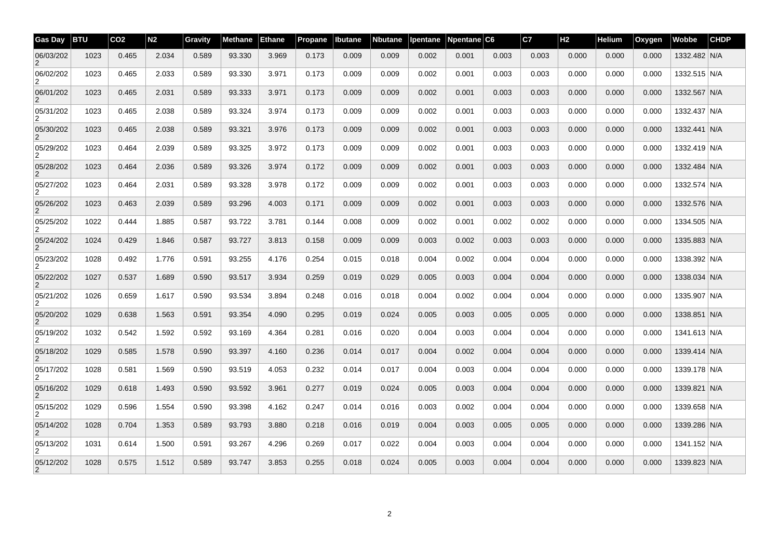| <b>Gas Day</b> | <b>BTU</b> | CO <sub>2</sub> | N <sub>2</sub> | Gravity | Methane | <b>Ethane</b> | Propane | Ibutane | <b>Nbutane</b> | Ipentane | Npentane C6 |       | C7    | H <sub>2</sub> | Helium | Oxygen | Wobbe        | <b>CHDP</b> |
|----------------|------------|-----------------|----------------|---------|---------|---------------|---------|---------|----------------|----------|-------------|-------|-------|----------------|--------|--------|--------------|-------------|
| 06/03/202      | 1023       | 0.465           | 2.034          | 0.589   | 93.330  | 3.969         | 0.173   | 0.009   | 0.009          | 0.002    | 0.001       | 0.003 | 0.003 | 0.000          | 0.000  | 0.000  | 1332.482 N/A |             |
| 06/02/202<br>2 | 1023       | 0.465           | 2.033          | 0.589   | 93.330  | 3.971         | 0.173   | 0.009   | 0.009          | 0.002    | 0.001       | 0.003 | 0.003 | 0.000          | 0.000  | 0.000  | 1332.515 N/A |             |
| 06/01/202      | 1023       | 0.465           | 2.031          | 0.589   | 93.333  | 3.971         | 0.173   | 0.009   | 0.009          | 0.002    | 0.001       | 0.003 | 0.003 | 0.000          | 0.000  | 0.000  | 1332.567 N/A |             |
| 05/31/202<br>2 | 1023       | 0.465           | 2.038          | 0.589   | 93.324  | 3.974         | 0.173   | 0.009   | 0.009          | 0.002    | 0.001       | 0.003 | 0.003 | 0.000          | 0.000  | 0.000  | 1332.437 N/A |             |
| 05/30/202      | 1023       | 0.465           | 2.038          | 0.589   | 93.321  | 3.976         | 0.173   | 0.009   | 0.009          | 0.002    | 0.001       | 0.003 | 0.003 | 0.000          | 0.000  | 0.000  | 1332.441 N/A |             |
| 05/29/202<br>2 | 1023       | 0.464           | 2.039          | 0.589   | 93.325  | 3.972         | 0.173   | 0.009   | 0.009          | 0.002    | 0.001       | 0.003 | 0.003 | 0.000          | 0.000  | 0.000  | 1332.419 N/A |             |
| 05/28/202<br>2 | 1023       | 0.464           | 2.036          | 0.589   | 93.326  | 3.974         | 0.172   | 0.009   | 0.009          | 0.002    | 0.001       | 0.003 | 0.003 | 0.000          | 0.000  | 0.000  | 1332.484 N/A |             |
| 05/27/202<br>2 | 1023       | 0.464           | 2.031          | 0.589   | 93.328  | 3.978         | 0.172   | 0.009   | 0.009          | 0.002    | 0.001       | 0.003 | 0.003 | 0.000          | 0.000  | 0.000  | 1332.574 N/A |             |
| 05/26/202<br>2 | 1023       | 0.463           | 2.039          | 0.589   | 93.296  | 4.003         | 0.171   | 0.009   | 0.009          | 0.002    | 0.001       | 0.003 | 0.003 | 0.000          | 0.000  | 0.000  | 1332.576 N/A |             |
| 05/25/202<br>2 | 1022       | 0.444           | 1.885          | 0.587   | 93.722  | 3.781         | 0.144   | 0.008   | 0.009          | 0.002    | 0.001       | 0.002 | 0.002 | 0.000          | 0.000  | 0.000  | 1334.505 N/A |             |
| 05/24/202      | 1024       | 0.429           | 1.846          | 0.587   | 93.727  | 3.813         | 0.158   | 0.009   | 0.009          | 0.003    | 0.002       | 0.003 | 0.003 | 0.000          | 0.000  | 0.000  | 1335.883 N/A |             |
| 05/23/202<br>2 | 1028       | 0.492           | 1.776          | 0.591   | 93.255  | 4.176         | 0.254   | 0.015   | 0.018          | 0.004    | 0.002       | 0.004 | 0.004 | 0.000          | 0.000  | 0.000  | 1338.392 N/A |             |
| 05/22/202      | 1027       | 0.537           | 1.689          | 0.590   | 93.517  | 3.934         | 0.259   | 0.019   | 0.029          | 0.005    | 0.003       | 0.004 | 0.004 | 0.000          | 0.000  | 0.000  | 1338.034 N/A |             |
| 05/21/202<br>2 | 1026       | 0.659           | 1.617          | 0.590   | 93.534  | 3.894         | 0.248   | 0.016   | 0.018          | 0.004    | 0.002       | 0.004 | 0.004 | 0.000          | 0.000  | 0.000  | 1335.907 N/A |             |
| 05/20/202<br>2 | 1029       | 0.638           | 1.563          | 0.591   | 93.354  | 4.090         | 0.295   | 0.019   | 0.024          | 0.005    | 0.003       | 0.005 | 0.005 | 0.000          | 0.000  | 0.000  | 1338.851 N/A |             |
| 05/19/202<br>2 | 1032       | 0.542           | 1.592          | 0.592   | 93.169  | 4.364         | 0.281   | 0.016   | 0.020          | 0.004    | 0.003       | 0.004 | 0.004 | 0.000          | 0.000  | 0.000  | 1341.613 N/A |             |
| 05/18/202<br>2 | 1029       | 0.585           | 1.578          | 0.590   | 93.397  | 4.160         | 0.236   | 0.014   | 0.017          | 0.004    | 0.002       | 0.004 | 0.004 | 0.000          | 0.000  | 0.000  | 1339.414 N/A |             |
| 05/17/202<br>2 | 1028       | 0.581           | 1.569          | 0.590   | 93.519  | 4.053         | 0.232   | 0.014   | 0.017          | 0.004    | 0.003       | 0.004 | 0.004 | 0.000          | 0.000  | 0.000  | 1339.178 N/A |             |
| 05/16/202<br>2 | 1029       | 0.618           | 1.493          | 0.590   | 93.592  | 3.961         | 0.277   | 0.019   | 0.024          | 0.005    | 0.003       | 0.004 | 0.004 | 0.000          | 0.000  | 0.000  | 1339.821 N/A |             |
| 05/15/202<br>2 | 1029       | 0.596           | 1.554          | 0.590   | 93.398  | 4.162         | 0.247   | 0.014   | 0.016          | 0.003    | 0.002       | 0.004 | 0.004 | 0.000          | 0.000  | 0.000  | 1339.658 N/A |             |
| 05/14/202<br>2 | 1028       | 0.704           | 1.353          | 0.589   | 93.793  | 3.880         | 0.218   | 0.016   | 0.019          | 0.004    | 0.003       | 0.005 | 0.005 | 0.000          | 0.000  | 0.000  | 1339.286 N/A |             |
| 05/13/202<br>2 | 1031       | 0.614           | 1.500          | 0.591   | 93.267  | 4.296         | 0.269   | 0.017   | 0.022          | 0.004    | 0.003       | 0.004 | 0.004 | 0.000          | 0.000  | 0.000  | 1341.152 N/A |             |
| 05/12/202<br>2 | 1028       | 0.575           | 1.512          | 0.589   | 93.747  | 3.853         | 0.255   | 0.018   | 0.024          | 0.005    | 0.003       | 0.004 | 0.004 | 0.000          | 0.000  | 0.000  | 1339.823 N/A |             |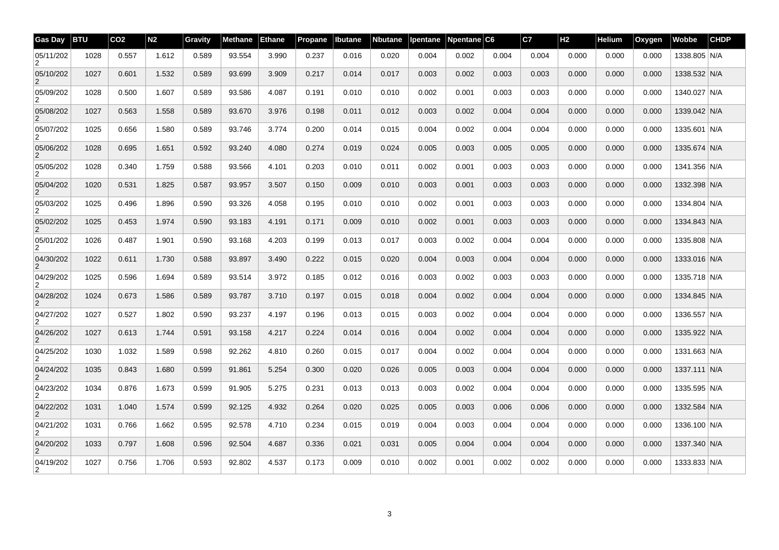| <b>Gas Day</b>              | <b>BTU</b> | CO <sub>2</sub> | N <sub>2</sub> | Gravity | Methane | <b>Ethane</b> | <b>Propane</b> | Ibutane | <b>Nbutane</b> | Ipentane | Npentane C6 |       | C7    | H <sub>2</sub> | Helium | Oxygen | Wobbe        | <b>CHDP</b> |
|-----------------------------|------------|-----------------|----------------|---------|---------|---------------|----------------|---------|----------------|----------|-------------|-------|-------|----------------|--------|--------|--------------|-------------|
| 05/11/202                   | 1028       | 0.557           | 1.612          | 0.589   | 93.554  | 3.990         | 0.237          | 0.016   | 0.020          | 0.004    | 0.002       | 0.004 | 0.004 | 0.000          | 0.000  | 0.000  | 1338.805 N/A |             |
| 05/10/202<br>2              | 1027       | 0.601           | 1.532          | 0.589   | 93.699  | 3.909         | 0.217          | 0.014   | 0.017          | 0.003    | 0.002       | 0.003 | 0.003 | 0.000          | 0.000  | 0.000  | 1338.532 N/A |             |
| 05/09/202                   | 1028       | 0.500           | 1.607          | 0.589   | 93.586  | 4.087         | 0.191          | 0.010   | 0.010          | 0.002    | 0.001       | 0.003 | 0.003 | 0.000          | 0.000  | 0.000  | 1340.027 N/A |             |
| 05/08/202<br>$\overline{2}$ | 1027       | 0.563           | 1.558          | 0.589   | 93.670  | 3.976         | 0.198          | 0.011   | 0.012          | 0.003    | 0.002       | 0.004 | 0.004 | 0.000          | 0.000  | 0.000  | 1339.042 N/A |             |
| 05/07/202                   | 1025       | 0.656           | 1.580          | 0.589   | 93.746  | 3.774         | 0.200          | 0.014   | 0.015          | 0.004    | 0.002       | 0.004 | 0.004 | 0.000          | 0.000  | 0.000  | 1335.601 N/A |             |
| 05/06/202<br>$\overline{2}$ | 1028       | 0.695           | 1.651          | 0.592   | 93.240  | 4.080         | 0.274          | 0.019   | 0.024          | 0.005    | 0.003       | 0.005 | 0.005 | 0.000          | 0.000  | 0.000  | 1335.674 N/A |             |
| 05/05/202<br>2              | 1028       | 0.340           | 1.759          | 0.588   | 93.566  | 4.101         | 0.203          | 0.010   | 0.011          | 0.002    | 0.001       | 0.003 | 0.003 | 0.000          | 0.000  | 0.000  | 1341.356 N/A |             |
| 05/04/202<br>2              | 1020       | 0.531           | 1.825          | 0.587   | 93.957  | 3.507         | 0.150          | 0.009   | 0.010          | 0.003    | 0.001       | 0.003 | 0.003 | 0.000          | 0.000  | 0.000  | 1332.398 N/A |             |
| 05/03/202<br>2              | 1025       | 0.496           | 1.896          | 0.590   | 93.326  | 4.058         | 0.195          | 0.010   | 0.010          | 0.002    | 0.001       | 0.003 | 0.003 | 0.000          | 0.000  | 0.000  | 1334.804 N/A |             |
| 05/02/202                   | 1025       | 0.453           | 1.974          | 0.590   | 93.183  | 4.191         | 0.171          | 0.009   | 0.010          | 0.002    | 0.001       | 0.003 | 0.003 | 0.000          | 0.000  | 0.000  | 1334.843 N/A |             |
| 05/01/202<br>2              | 1026       | 0.487           | 1.901          | 0.590   | 93.168  | 4.203         | 0.199          | 0.013   | 0.017          | 0.003    | 0.002       | 0.004 | 0.004 | 0.000          | 0.000  | 0.000  | 1335.808 N/A |             |
| 04/30/202                   | 1022       | 0.611           | 1.730          | 0.588   | 93.897  | 3.490         | 0.222          | 0.015   | 0.020          | 0.004    | 0.003       | 0.004 | 0.004 | 0.000          | 0.000  | 0.000  | 1333.016 N/A |             |
| 04/29/202<br>2              | 1025       | 0.596           | 1.694          | 0.589   | 93.514  | 3.972         | 0.185          | 0.012   | 0.016          | 0.003    | 0.002       | 0.003 | 0.003 | 0.000          | 0.000  | 0.000  | 1335.718 N/A |             |
| 04/28/202<br>$\overline{2}$ | 1024       | 0.673           | 1.586          | 0.589   | 93.787  | 3.710         | 0.197          | 0.015   | 0.018          | 0.004    | 0.002       | 0.004 | 0.004 | 0.000          | 0.000  | 0.000  | 1334.845 N/A |             |
| 04/27/202<br>2              | 1027       | 0.527           | 1.802          | 0.590   | 93.237  | 4.197         | 0.196          | 0.013   | 0.015          | 0.003    | 0.002       | 0.004 | 0.004 | 0.000          | 0.000  | 0.000  | 1336.557 N/A |             |
| 04/26/202<br>$\overline{2}$ | 1027       | 0.613           | 1.744          | 0.591   | 93.158  | 4.217         | 0.224          | 0.014   | 0.016          | 0.004    | 0.002       | 0.004 | 0.004 | 0.000          | 0.000  | 0.000  | 1335.922 N/A |             |
| 04/25/202<br>2              | 1030       | 1.032           | 1.589          | 0.598   | 92.262  | 4.810         | 0.260          | 0.015   | 0.017          | 0.004    | 0.002       | 0.004 | 0.004 | 0.000          | 0.000  | 0.000  | 1331.663 N/A |             |
| 04/24/202                   | 1035       | 0.843           | 1.680          | 0.599   | 91.861  | 5.254         | 0.300          | 0.020   | 0.026          | 0.005    | 0.003       | 0.004 | 0.004 | 0.000          | 0.000  | 0.000  | 1337.111 N/A |             |
| 04/23/202<br>2              | 1034       | 0.876           | 1.673          | 0.599   | 91.905  | 5.275         | 0.231          | 0.013   | 0.013          | 0.003    | 0.002       | 0.004 | 0.004 | 0.000          | 0.000  | 0.000  | 1335.595 N/A |             |
| 04/22/202                   | 1031       | 1.040           | 1.574          | 0.599   | 92.125  | 4.932         | 0.264          | 0.020   | 0.025          | 0.005    | 0.003       | 0.006 | 0.006 | 0.000          | 0.000  | 0.000  | 1332.584 N/A |             |
| 04/21/202<br>2              | 1031       | 0.766           | 1.662          | 0.595   | 92.578  | 4.710         | 0.234          | 0.015   | 0.019          | 0.004    | 0.003       | 0.004 | 0.004 | 0.000          | 0.000  | 0.000  | 1336.100 N/A |             |
| 04/20/202                   | 1033       | 0.797           | 1.608          | 0.596   | 92.504  | 4.687         | 0.336          | 0.021   | 0.031          | 0.005    | 0.004       | 0.004 | 0.004 | 0.000          | 0.000  | 0.000  | 1337.340 N/A |             |
| 04/19/202<br>2              | 1027       | 0.756           | 1.706          | 0.593   | 92.802  | 4.537         | 0.173          | 0.009   | 0.010          | 0.002    | 0.001       | 0.002 | 0.002 | 0.000          | 0.000  | 0.000  | 1333.833 N/A |             |